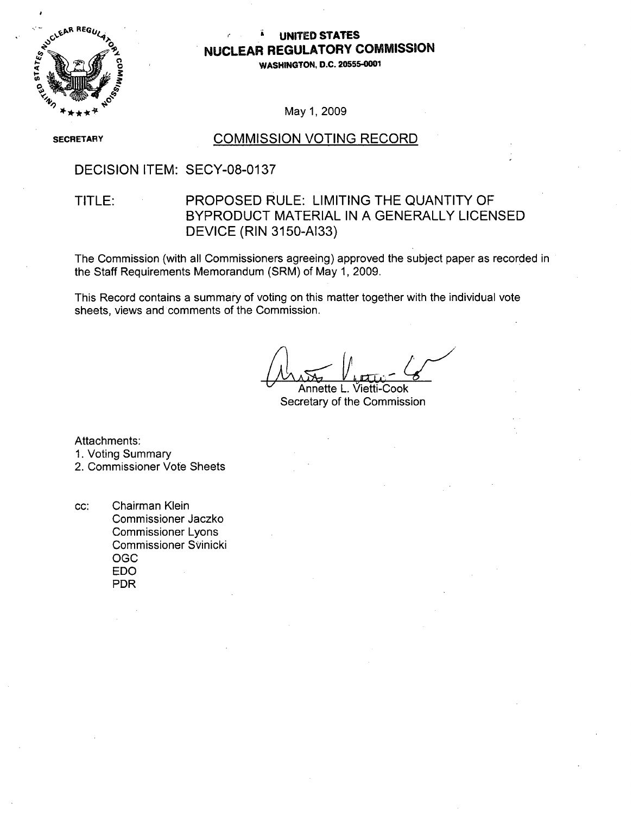

## **UNITED STATES NUCLEAR** REGULATORY **COMMISSION**

**WASHINGTON, D.C.** 20555-0001

May 1,2009

**SECRETARY** 

### COMMISSION VOTING RECORD

DECISION ITEM: SECY-08-0137

## TITLE: PROPOSED RULE: LIMITING THE QUANTITY OF BYPRODUCT MATERIAL IN A GENERALLY LICENSED DEVICE (RIN 3150-AI33)

The Commission (with all Commissioners agreeing) approved the subject paper as recorded in the Staff Requirements Memorandum (SRM) of May 1, 2009.

This Record contains a summary of voting on this matter together with the individual vote sheets, views and comments of the Commission.

Annette L. Vietti-Cook Secretary of the Commission

Attachments:

1. Voting Summary

2. Commissioner Vote Sheets

cc: Chairman Klein Commissioner Jaczko Commissioner Lyons Commissioner SVinicki OGC EDO PDR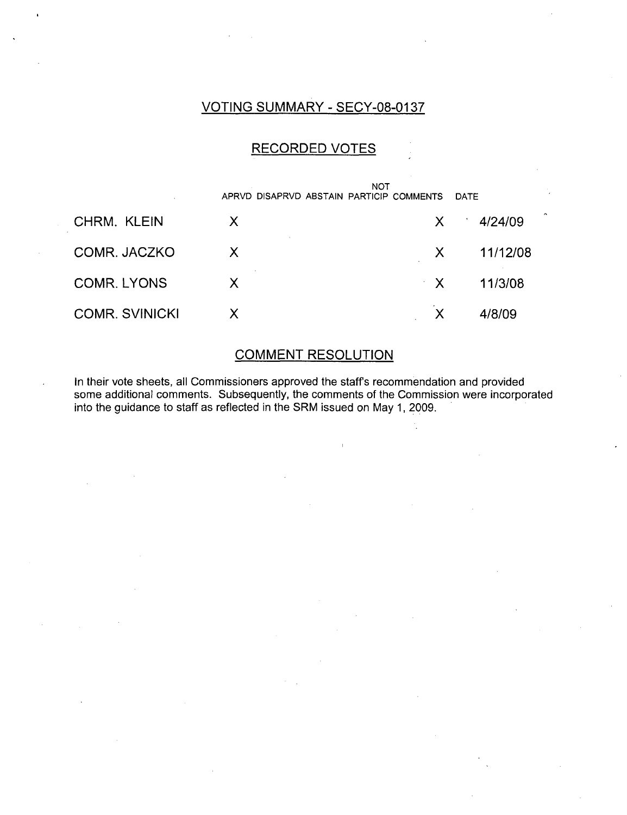## VOTING SUMMARY - SECY-08-0137

## RECORDED VOTES

|                       | APRVD DISAPRVD ABSTAIN PARTICIP COMMENTS | NOT          | DATF     |        |
|-----------------------|------------------------------------------|--------------|----------|--------|
| CHRM. KLEIN           | X                                        | $\mathsf{X}$ | 4/24/09  | $\sim$ |
| COMR. JACZKO          | X                                        | X            | 11/12/08 |        |
| <b>COMR. LYONS</b>    | X                                        | $\mathbf{X}$ | 11/3/08  |        |
| <b>COMR. SVINICKI</b> |                                          | X            | 4/8/09   |        |

## COMMENT RESOLUTION

In their vote sheets, all Commissioners approved the staff's recommendation and provided some additional comments. Subsequently, the comments of the Commission were incorporated into the guidance to staff as reflected in the SRM issued on May 1, 2009.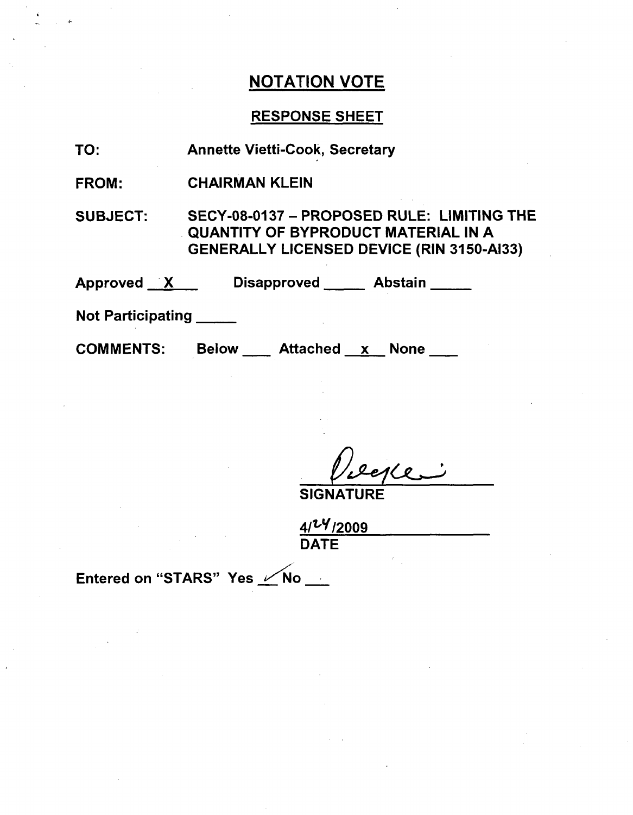## RESPONSE SHEET

| <b>Annette Vietti-Cook, Secretary</b> |
|---------------------------------------|
|                                       |

FROM: CHAIRMAN KLEIN

SUBJECT: SECY-08-0137 - PROPOSED RULE: LIMITING THE QUANTITY OF BYPRODUCT MATERIAL IN A GENERALLY LICENSED DEVICE (RIN 3150-AI33)

Approved X Disapproved Abstain

Not Participating

COMMENTS: Below Attached x None

**SIGNATURE** 

 $4/24/2009$ DATE

Entered on "STARS" Yes  $\sqrt{N}$ o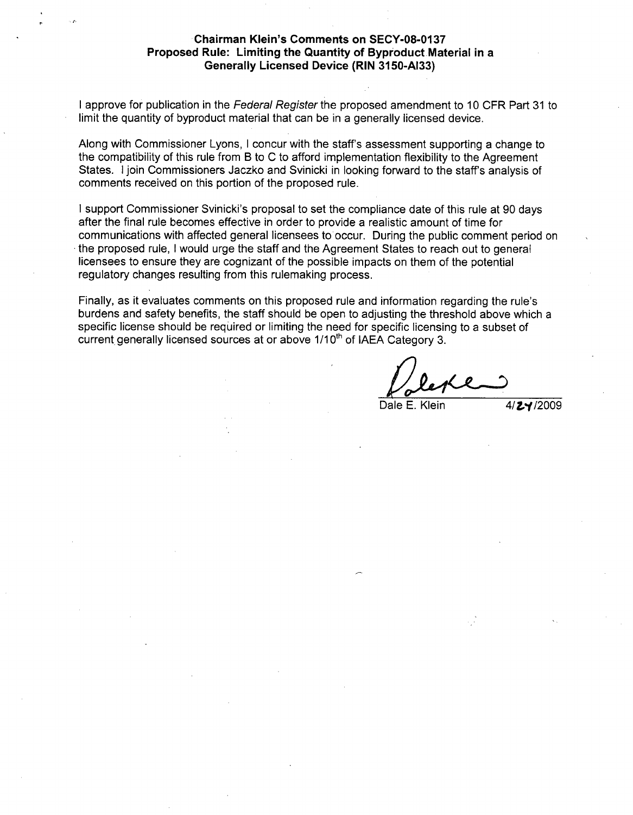### Chairman Klein's Comments on **SECY-08-0137** Proposed Rule: Limiting the Quantity of Byproduct Material in a Generally Licensed Device (RIN **3150-AI33)**

I approve for publication in the *Federal Register* the proposed amendment to 10 CFR Part 31 to limit the quantity of byproduct material that can be in a generally licensed device.

Along with Commissioner Lyons, I concur with the staff's assessment supporting a change to the compatibility of this rule from B to C to afford implementation flexibility to the Agreement States. I join Commissioners Jaczko and Svinicki in looking forward to the staff's analysis of comments received on this portion of the proposed rule.

**I** support Commissioner Svinicki's proposal to set the compliance date of this rule at 90 days after the final rule becomes effective in order to provide a realistic amount of time for communications with affected general licensees to occur. During the public comment period on the proposed rule, I would urge the staff and the Agreement States to reach out to general licensees to ensure they are cognizant of the possible impacts on them of the potential regulatory changes resulting from this rulemaking process.

Finally, as it evaluates comments on this proposed rule and information regarding the rule's burdens and safety benefits, the staff should be open to adjusting the threshold above which a specific license should be required or limiting the need for specific licensing to a subset of current generally licensed sources at or above 1/10<sup>th</sup> of IAEA Category 3.

Dale E. Klein  $4/\sqrt{24}/2009$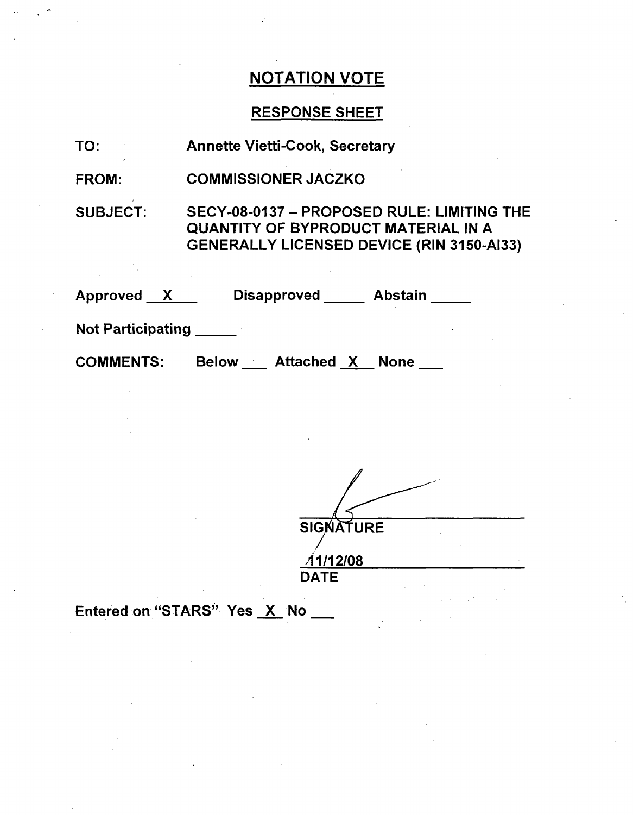## RESPONSE SHEET

| TO:                      | <b>Annette Vietti-Cook, Secretary</b>                                                                                                        |
|--------------------------|----------------------------------------------------------------------------------------------------------------------------------------------|
| FROM:                    | <b>COMMISSIONER JACZKO</b>                                                                                                                   |
| <b>SUBJECT:</b>          | SECY-08-0137 - PROPOSED RULE: LIMITING THE<br><b>QUANTITY OF BYPRODUCT MATERIAL IN A</b><br><b>GENERALLY LICENSED DEVICE (RIN 3150-AI33)</b> |
| Approved X               | Disapproved Abstain                                                                                                                          |
| <b>Not Participating</b> |                                                                                                                                              |
| <b>COMMENTS:</b>         | Below Attached X None                                                                                                                        |
|                          |                                                                                                                                              |

| <b>SIGNATURE</b> |  |
|------------------|--|
|                  |  |
| <u> 11/12/08</u> |  |
| <b>DATE</b>      |  |
|                  |  |

Entered on "STARS" Yes X No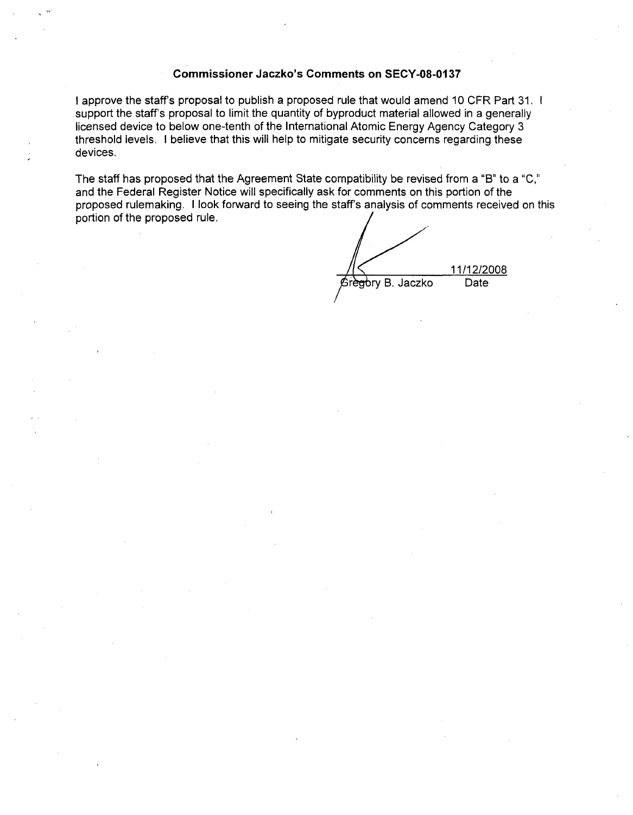### Commissioner Jaczko's Comments on **SECY-08-0137**

I approve the staff's proposal to publish a proposed rule that would amend 10 CFR Part 31. **1** support the staff's proposal to limit the quantity of byproduct material allowed in a generally licensed device to below one-tenth of the International Atomic Energy Agency Category 3 threshold levels. I believe that this will help to mitigate security concerns regarding these devices.

The staff has proposed that the Agreement State compatibility be revised from a "B" to a "C," and the Federal Register Notice will specifically ask for comments on this portion of the proposed rulemaking. I look forward to seeing the staff's analysis of comments received on this portion of the proposed rule.

11/12/2008 Gregory B. Jaczko Date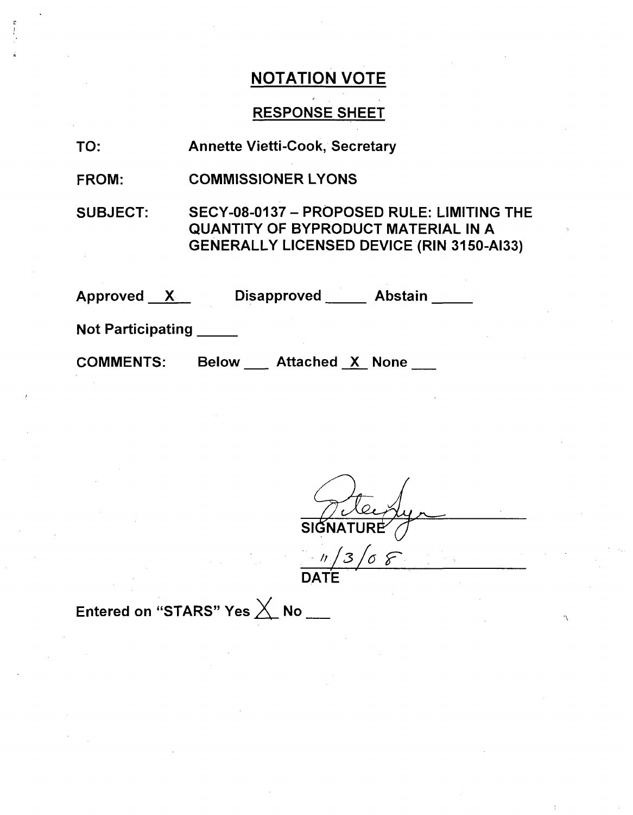## RESPONSE SHEET

| TO: |  | <b>Annette Vietti-Cook, Secretary</b> |  |
|-----|--|---------------------------------------|--|
|-----|--|---------------------------------------|--|

FROM: COMMISSIONER LYONS

SUBJECT: SECY-08-0137 - PROPOSED RULE: LIMITING THE QUANTITY OF BYPRODUCT MATERIAL IN A GENERALLY LICENSED DEVICE (RIN 3150-AI33)

| <b>Approved</b><br>$\mathbf{X}$ |              | <b>Disapproved</b>     | <b>Abstain</b> |  |
|---------------------------------|--------------|------------------------|----------------|--|
| <b>Not Participating</b>        |              |                        |                |  |
| <b>COMMENTS:</b>                | <b>Below</b> | <b>Attached X None</b> |                |  |

 $\overline{\mathsf{sig}}$  $\overline{\mathcal{Z}}$  $\sigma$   $\varepsilon$ 

DATE

Entered on "STARS" Yes  $\times$  No \_\_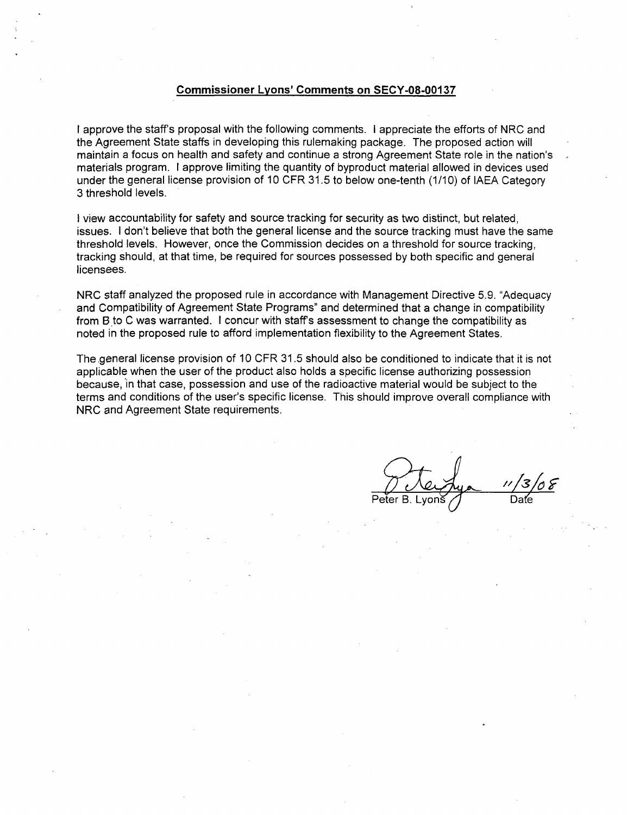### Commissioner Lyons' Comments on **SECY-08-00137**

I approve the staff's proposal with the following comments. I appreciate the efforts of NRC and the Agreement State staffs in developing this rulemaking package. The proposed action will maintain a focus on health and safety and continue a strong Agreement State role in the nation's materials program. I approve limiting the quantity of byproduct material allowed in devices used under the general license provision of 10 CFR 31.5 to below one-tenth (1/10) of IAEA Category 3 threshold levels.

I view accountability for safety and source tracking for security as two distinct, but related, issues. I don't believe that both the general license and the source tracking must have the same threshold levels. However, once the Commission decides on a threshold for source tracking, tracking should, at that time, be required for sources possessed by both specific and general licensees.

NRC staff analyzed the proposed rule in accordance with Management Directive 5.9. "Adequacy and Compatibility of Agreement State Programs" and determined that a change in compatibility from B to C was warranted. I concur with staffs assessment to change the compatibility as noted in the proposed rule to afford implementation flexibility to the Agreement States.

The general license provision of 10 CFR 31.5 should also be conditioned to indicate that it is not applicable when the user of the product also holds a specific license authorizing possession because, 'in that case, possession and use of the radioactive material would be subject to the terms and conditions of the user's specific license. This should improve overall compliance with NRC and Agreement State requirements.

Peter B. Lyons / Date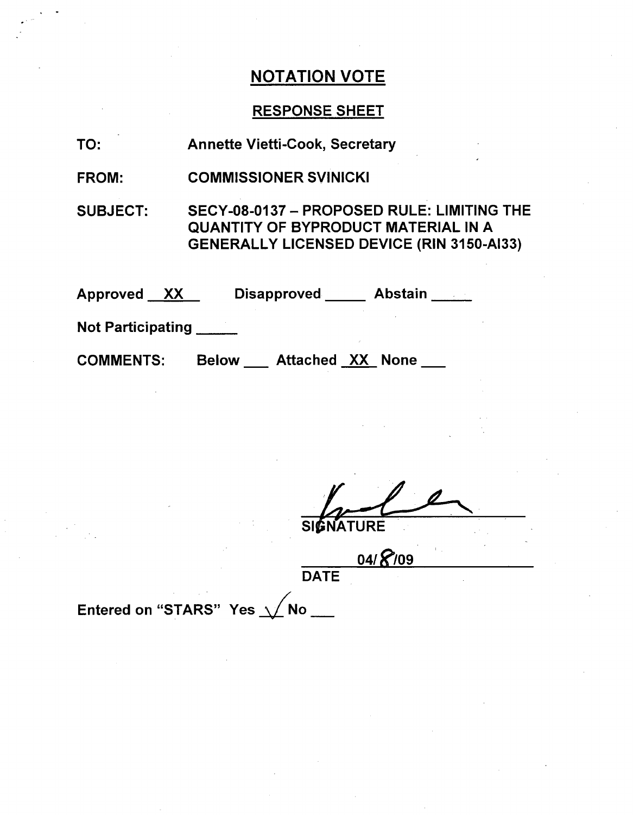# RESPONSE SHEET

| TO:                      | <b>Annette Vietti-Cook, Secretary</b>                                                                                                        |
|--------------------------|----------------------------------------------------------------------------------------------------------------------------------------------|
| <b>FROM:</b>             | <b>COMMISSIONER SVINICKI</b>                                                                                                                 |
| <b>SUBJECT:</b>          | SECY-08-0137 - PROPOSED RULE: LIMITING THE<br><b>QUANTITY OF BYPRODUCT MATERIAL IN A</b><br><b>GENERALLY LICENSED DEVICE (RIN 3150-AI33)</b> |
| Approved XX              | Disapproved Abstain                                                                                                                          |
| <b>Not Participating</b> |                                                                                                                                              |
| <b>COMMENTS:</b>         | <b>Below</b> Attached XX None                                                                                                                |

SIGNATURE

04/ 8/09 **DATE** 

Entered on "STARS" Yes  $\sqrt{}$ No \_\_\_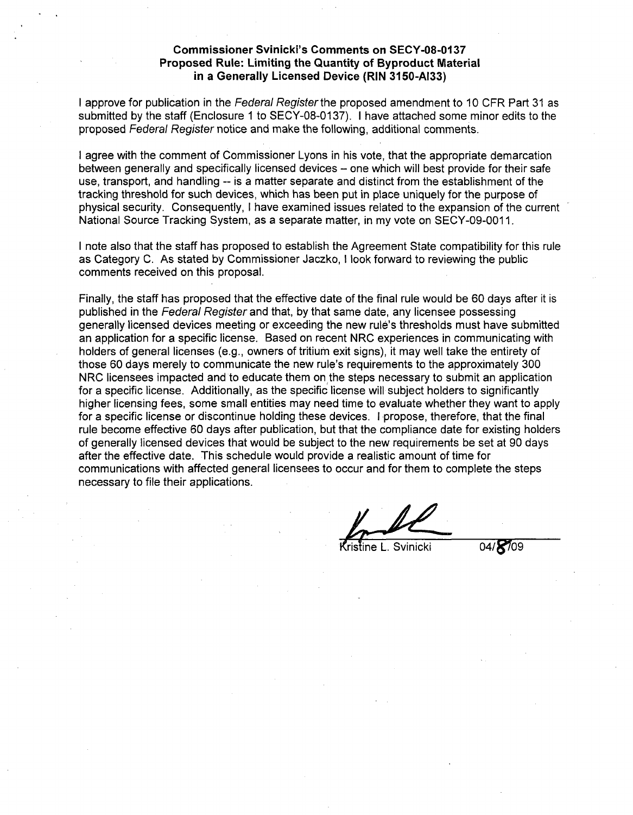### Commissioner Svinicki's Comments on **SECY-08-0137** Proposed Rule: Limiting the Quantity of Byproduct Material in a Generally Licensed Device (RIN **3150-AI33)**

I approve for publication in the *Federal Register* the proposed amendment to 10 CFR Part 31 as submitted by the staff (Enclosure **1** to SECY-08-0137). I have attached some minor edits to the proposed Federal Register notice and make the following, additional comments.

I agree with the comment of Commissioner Lyons in his vote, that the appropriate demarcation between generally and specifically licensed devices – one which will best provide for their safe use, transport, and handling -- is a matter separate and distinct from the establishment of the tracking threshold for such devices, which has been put in place uniquely for the purpose of physical security. Consequently, I have examined issues related to the expansion of the current National Source Tracking System, as a separate matter, in my vote on SECY-09-0011.

I note also that the staff has proposed to establish the Agreement State compatibility for this rule as Category C. As stated by Commissioner Jaczko, I look forward to reviewing the public comments received on this proposal.

Finally, the staff has proposed that the effective date of the final rule would be 60 days after it is published in the *Federal Register* and that, by that same date, any licensee possessing generally licensed devices meeting or exceeding the new rule's thresholds must have submitted an application for a specific license. Based on recent NRC experiences in communicating with holders of general licenses (e.g., owners of tritium exit signs), it may well take the entirety of those 60 days merely to communicate the new rule's requirements to the approximately 300 NRC licensees impacted and to educate them on the steps necessary to submit an application for a specific license. Additionally, as the specific license will subject holders to significantly higher licensing fees, some small entities may need time to evaluate whether they want to apply for a specific license or discontinue holding these devices. I propose, therefore, that the final rule become effective 60 days after publication, but that the compliance date for existing holders of generally licensed devices that would be subject to the new requirements be set at 90 days after the effective date. This schedule would provide a realistic amount of time for communications with affected general licensees to occur and for them to complete the steps necessary to file their applications.

 $\ell$ ristine L. Svinicki

04/8/09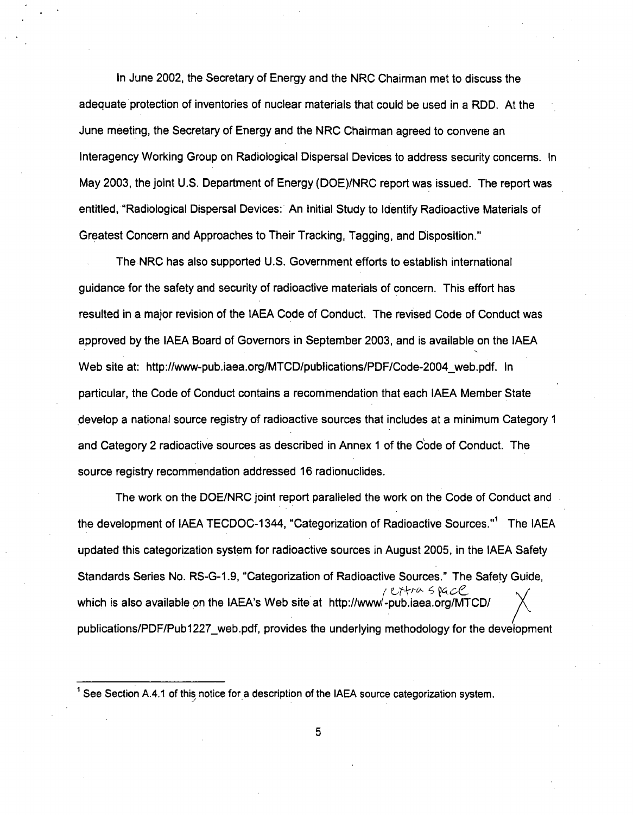In June 2002, the Secretary of Energy and the NRC Chairman met to discuss the adequate protection of inventories of nuclear materials that could be used in a RDD. At the June meeting, the Secretary of Energy and the NRC Chairman agreed to convene an Interagency Working Group on Radiological Dispersal Devices to address security concerns. In May 2003, the joint U.S. Department of Energy (DOE)/NRC report was issued. The report was entitled, "Radiological Dispersal Devices: An Initial Study to Identify Radioactive Materials of Greatest Concern and Approaches to Their Tracking, Tagging, and Disposition."

The NRC has also supported U.S. Government efforts to establish international guidance for the safety and security of radioactive materials of concern. This effort has resulted in a major revision of the IAEA Code of Conduct. The revised Code of Conduct was approved by the IAEA Board of Governors in September 2003, and is available on the IAEA Web site at: http://www-pub.iaea.org/MTCD/publications/PDF/Code-2004\_web.pdf. In particular, the Code of Conduct contains a recommendation that each IAEA Member State develop a national source registry of radioactive sources that includes at a minimum Category **1** and Category 2 radioactive sources as described in Annex **1** of the Code of Conduct. The source registry recommendation addressed 16 radionuclides.

The work on the DOE/NRC joint report paralleled the work on the Code of Conduct and the development of IAEA TECDOC-1344, "Categorization of Radioactive Sources."<sup>1</sup> The IAEA updated this categorization system for radioactive sources in August 2005, in the IAEA Safety Standards Series No. RS-G-1.9, "Categorization of Radioactive Sources." The Safety Guide, which is also available on the IAEA's Web site at http://www/-pub.iaea.org/MTCD/ publications/PDF/Pub1227\_web.pdf, provides the underlying methodology for the development

See Section A.4.1 of this notice for a description of the IAEA source categorization system.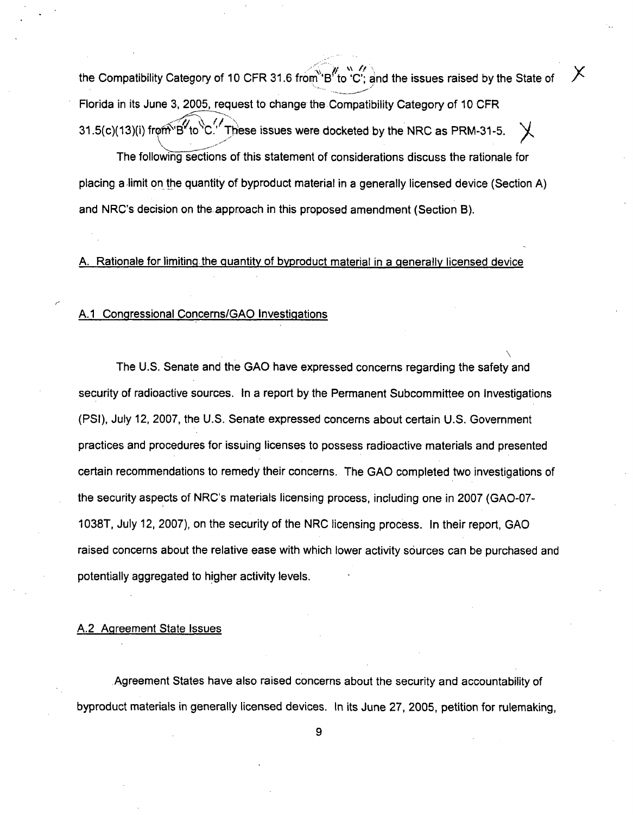the Compatibility Category of 10 CFR 31.6 from "B"to "C"; and the issues raised by the State of  $X$ Florida in its June 3, 2005, request to change the Compatibility Category of 10 CFR  $31.5(c)(13)(i)$  from  $B'$  to  $C'$ . These issues were docketed by the NRC as PRM-31-5.

The following sections of this statement of considerations discuss the rationale for placing a limit on the quantity of byproduct material in a generally licensed device (Section A) and NRC's decision on the approach in this proposed amendment (Section B).

A. Rationale for limiting the quantity of byproduct material in a generally licensed device

### A.1 Congressional Concerns/GAO Investigations

The U.S. Senate and the GAO have expressed concerns regarding the safety and security of radioactive sources. In a report by the Permanent Subcommittee on Investigations (PSI), July 12, 2007, the U.S. Senate expressed concerns about certain U.S. Government practices and procedures for issuing licenses to possess radioactive materials and presented certain recommendations to remedy their concerns. The GAO completed two investigations of the security aspects of NRC's materials licensing process, including one in 2007 (GAO-07- 1038T, July 12, 2007), on the security of the NRC licensing process. In their report, GAO raised concerns about the relative ease with which lower activity sources can be purchased and potentially aggregated to higher activity levels.

#### A.2 Agreement State Issues

Agreement States have also raised concerns about the security and accountability of byproduct materials in generally licensed devices. In its June 27, 2005, petition for rulemaking,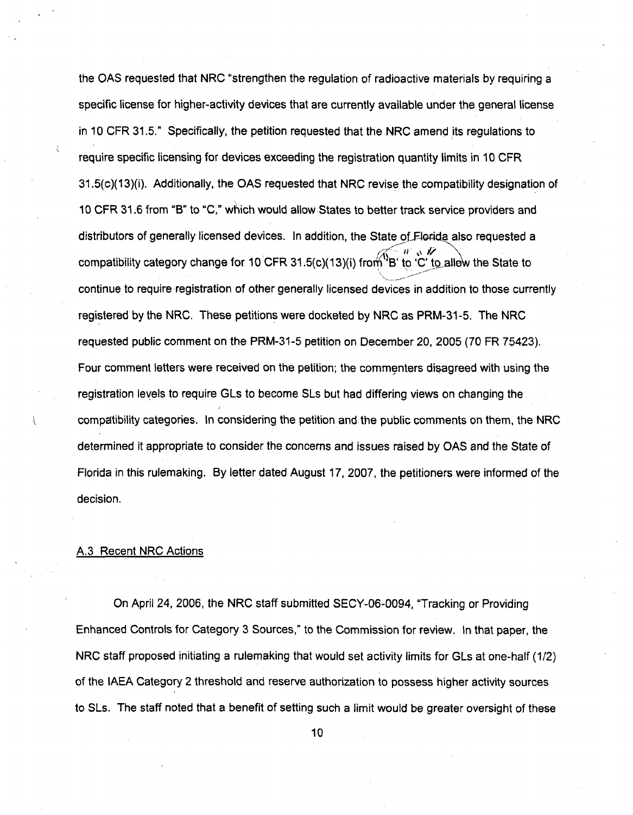the **OAS** requested that NRC "strengthen the regulation of radioactive materials by requiring a specific license for higher-activity devices that are currently available under the general license in 10 CFR 31.5." Specifically, the petition requested that the NRC amend its regulations to require specific licensing for devices exceeding the registration quantity limits in 10 CFR 31.5(c)(13)(i). Additionally, the **OAS** requested that NRC revise the compatibility designation of 10 CFR 31.6 from "B" to "C," which would allow States to better track service providers and distributors of generally licensed devices. In addition, the State of Florida also requested a compatibility category change for 10 CFR 31.5(c)(13)(i) from <sup>1</sup>B' to 'C' to allow the State to continue to require registration of other generally licensed devices in addition to those currently registered by the NRC. These petitions were docketed by NRC as PRM-31-5. The NRC requested public comment on the PRM-31-5 petition on December 20, 2005 (70 FR 75423). Four comment letters were received on the petition; the commenters disagreed with using the registration levels to require GLs to become SLs but had differing views on changing the compatibility categories. In considering the petition and the public comments on them, the NRC determined it appropriate to consider the concerns and issues raised by **OAS** and the State of Florida in this rulemaking. By letter dated August 17, 2007, the petitioners were informed of the decision.

### A.3 Recent NRC Actions

On April 24, 2006, the NRC staff submitted SECY-06-0094, "Tracking or Providing Enhanced Controls for Category 3 Sources," to the Commission for review. In that paper, the NRC staff proposed initiating a rulemaking that would set activity limits for GLs at one-half (1/2) of the IAEA Category 2 threshold and reserve authorization to possess higher activity sources to SLs. The staff noted that a benefit of setting such a limit would be greater oversight of these

10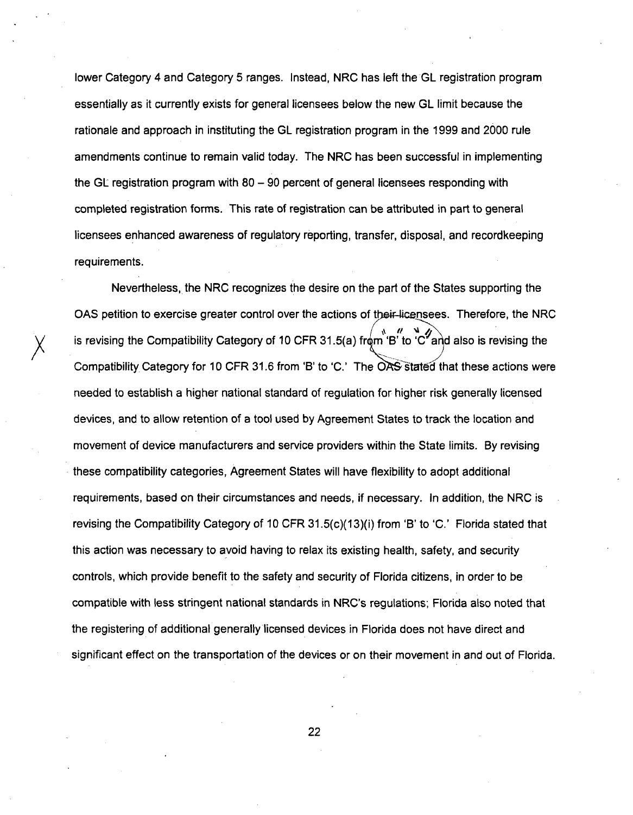lower Category 4 and Category 5 ranges. Instead, NRC has left the GL registration program essentially as it currently exists for general licensees below the new GL limit because the rationale and approach in instituting the GL registration program in the 1999 and 2000 rule amendments continue to remain valid today. The NRC has been successful in implementing the GL registration program with  $80 - 90$  percent of general licensees responding with completed registration forms. This rate of registration can be attributed in part to general licensees enhanced awareness of regulatory reporting, transfer, disposal, and recordkeeping requirements.

Nevertheless, the NRC recognizes the desire on the part of the States supporting the OAS petition to exercise greater control over the actions of their-licensees. Therefore, the NRC is revising the Compatibility Category of 10 CFR 31.5(a) from 'B' to 'C<sup>"</sup> and also is revising the Compatibility Category for 10 CFR 31.6 from 'B' to 'C.' The OAS stated that these actions were needed to establish a higher national standard of regulation for higher risk generally licensed devices, and to allow retention of a tool used by Agreement States to track the location and movement of device manufacturers and service providers within the State limits. By revising these compatibility categories, Agreement States will have flexibility to adopt additional requirements, based on their circumstances and needs, if necessary. In addition, the NRC is revising the Compatibility Category of 10 CFR 31.5(c)(13)(i) from 'B' to 'C.' Florida stated that this action was necessary to avoid having to relax its existing health, safety, and security controls, which provide benefit to the safety and security of Florida citizens, in order to be compatible with less stringent national standards in NRC's regulations; Florida also noted that the registering of additional generally licensed devices in Florida does not have direct and significant effect on the transportation of the devices or on their movement in and out of Florida.

22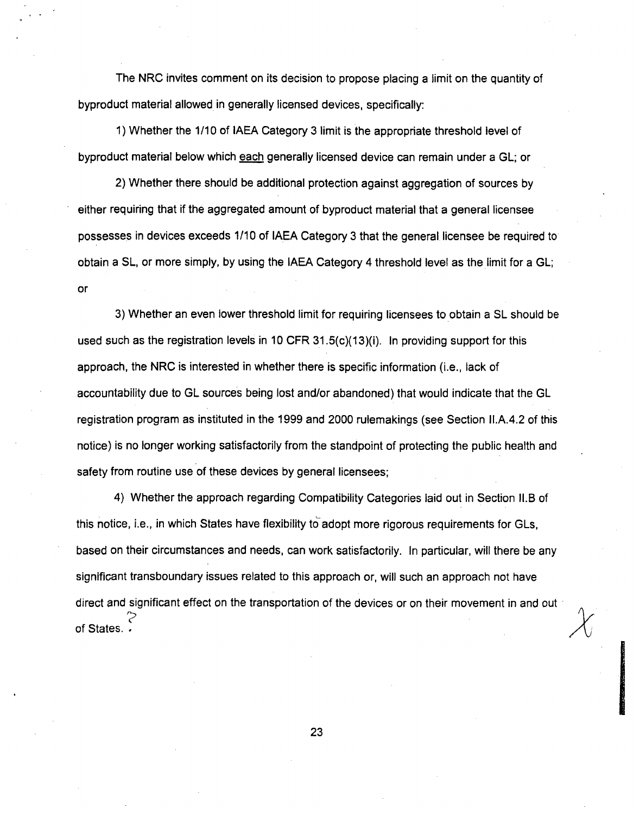The NRC invites comment on its decision to propose placing a limit on the quantity of byproduct material allowed in generally licensed devices, specifically:

1) Whether the 1/10 of IAEA Category 3 limit is the appropriate threshold level of byproduct material below which each generally licensed device can remain under a GL; or

2) Whether there should be additional protection against aggregation of sources by either requiring that if the aggregated amount of byproduct material that a general licensee possesses in devices exceeds 1/10 of IAEA Category 3 that the general licensee be required to obtain a SL, or more simply, by using the IAEA Category 4 threshold level as the limit for a GL; or

3) Whether an even lower threshold limit for requiring licensees to obtain a SL should be used such as the registration levels in 10 CFR 31.5(c)(13)(i). In providing support for this approach, the NRC is interested in whether there is specific information (i.e., lack of accountability due to GL sources being lost and/or abandoned) that would indicate that the GL registration program as instituted in the 1999 and 2000 rulemakings (see Section I1.A.4.2 of this notice) is no longer working satisfactorily from the standpoint of protecting the public health and safety from routine use of these devices by general licensees;

4) Whether the approach regarding Compatibility Categories laid out in Section lI.B of this notice, i.e., in which States have flexibility to adopt more rigorous requirements for GLs, based on their circumstances and needs, can work satisfactorily. In particular, will there be any significant transboundary issues related to this approach or, will such an approach not have direct and significant effect on the transportation of the devices or on their movement in and out of States. •

23